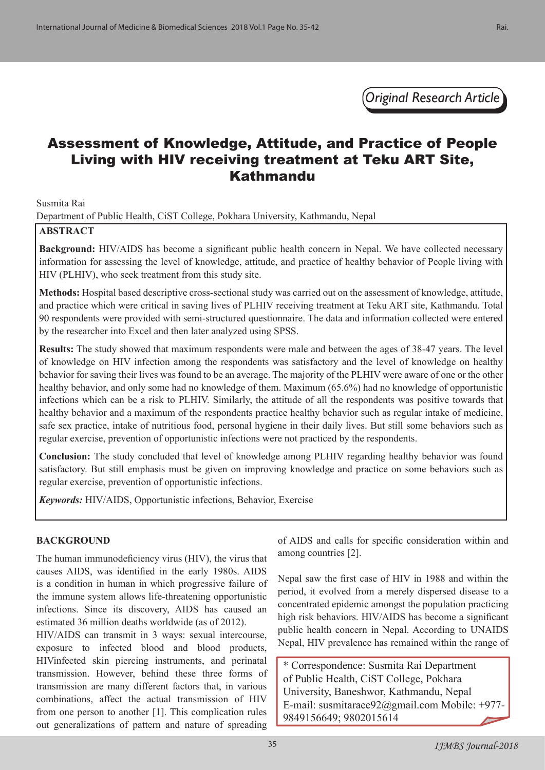*Original Research Article*

## Assessment of Knowledge, Attitude, and Practice of People Living with HIV receiving treatment at Teku ART Site, Kathmandu

Susmita Rai

Department of Public Health, CiST College, Pokhara University, Kathmandu, Nepal

#### **ABSTRACT**

**Background:** HIV/AIDS has become a significant public health concern in Nepal. We have collected necessary information for assessing the level of knowledge, attitude, and practice of healthy behavior of People living with HIV (PLHIV), who seek treatment from this study site.

**Methods:** Hospital based descriptive cross-sectional study was carried out on the assessment of knowledge, attitude, and practice which were critical in saving lives of PLHIV receiving treatment at Teku ART site, Kathmandu. Total 90 respondents were provided with semi-structured questionnaire. The data and information collected were entered by the researcher into Excel and then later analyzed using SPSS.

**Results:** The study showed that maximum respondents were male and between the ages of 38-47 years. The level of knowledge on HIV infection among the respondents was satisfactory and the level of knowledge on healthy behavior for saving their lives was found to be an average. The majority of the PLHIV were aware of one or the other healthy behavior, and only some had no knowledge of them. Maximum (65.6%) had no knowledge of opportunistic infections which can be a risk to PLHIV. Similarly, the attitude of all the respondents was positive towards that healthy behavior and a maximum of the respondents practice healthy behavior such as regular intake of medicine, safe sex practice, intake of nutritious food, personal hygiene in their daily lives. But still some behaviors such as regular exercise, prevention of opportunistic infections were not practiced by the respondents.

**Conclusion:** The study concluded that level of knowledge among PLHIV regarding healthy behavior was found satisfactory. But still emphasis must be given on improving knowledge and practice on some behaviors such as regular exercise, prevention of opportunistic infections.

*Keywords:* HIV/AIDS, Opportunistic infections, Behavior, Exercise

#### **BACKGROUND**

The human immunodeficiency virus (HIV), the virus that causes AIDS, was identified in the early 1980s. AIDS is a condition in human in which progressive failure of the immune system allows life-threatening opportunistic infections. Since its discovery, AIDS has caused an estimated 36 million deaths worldwide (as of 2012).

HIV/AIDS can transmit in 3 ways: sexual intercourse, exposure to infected blood and blood products, HIVinfected skin piercing instruments, and perinatal transmission. However, behind these three forms of transmission are many different factors that, in various combinations, affect the actual transmission of HIV from one person to another [1]. This complication rules out generalizations of pattern and nature of spreading

of AIDS and calls for specific consideration within and among countries [2].

Nepal saw the first case of HIV in 1988 and within the period, it evolved from a merely dispersed disease to a concentrated epidemic amongst the population practicing high risk behaviors. HIV/AIDS has become a significant public health concern in Nepal. According to UNAIDS Nepal, HIV prevalence has remained within the range of

\* Correspondence: Susmita Rai Department of Public Health, CiST College, Pokhara University, Baneshwor, Kathmandu, Nepal E-mail: susmitaraee92@gmail.com Mobile: +977- 9849156649; 9802015614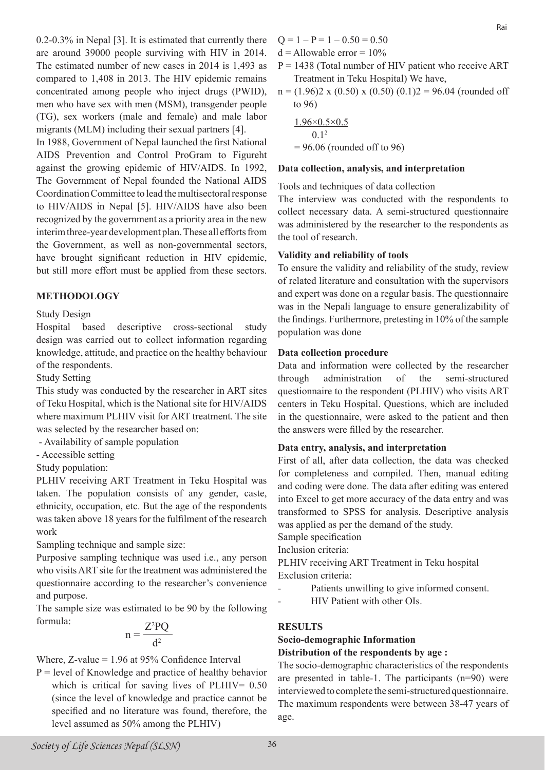0.2-0.3% in Nepal [3]. It is estimated that currently there are around 39000 people surviving with HIV in 2014. The estimated number of new cases in 2014 is 1,493 as compared to 1,408 in 2013. The HIV epidemic remains concentrated among people who inject drugs (PWID), men who have sex with men (MSM), transgender people (TG), sex workers (male and female) and male labor migrants (MLM) including their sexual partners [4].

In 1988, Government of Nepal launched the first National AIDS Prevention and Control ProGram to Figureht against the growing epidemic of HIV/AIDS. In 1992, The Government of Nepal founded the National AIDS Coordination Committee to lead the multisectoral response to HIV/AIDS in Nepal [5]. HIV/AIDS have also been recognized by the government as a priority area in the new interim three-year development plan. These all efforts from the Government, as well as non-governmental sectors, have brought significant reduction in HIV epidemic, but still more effort must be applied from these sectors.

## **METHODOLOGY**

#### Study Design

Hospital based descriptive cross-sectional study design was carried out to collect information regarding knowledge, attitude, and practice on the healthy behaviour of the respondents.

Study Setting

This study was conducted by the researcher in ART sites of Teku Hospital, which is the National site for HIV/AIDS where maximum PLHIV visit for ART treatment. The site was selected by the researcher based on:

- Availability of sample population

- Accessible setting

Study population:

PLHIV receiving ART Treatment in Teku Hospital was taken. The population consists of any gender, caste, ethnicity, occupation, etc. But the age of the respondents was taken above 18 years for the fulfilment of the research work

Sampling technique and sample size:

Purposive sampling technique was used i.e., any person who visits ART site for the treatment was administered the questionnaire according to the researcher's convenience and purpose.

The sample size was estimated to be 90 by the following formula:

$$
n = \frac{Z^2 PQ}{d^2}
$$

Where,  $Z$ -value = 1.96 at 95% Confidence Interval

 $P = level of Knowledge and practice of healthy behavior$ which is critical for saving lives of PLHIV=  $0.50$ (since the level of knowledge and practice cannot be specified and no literature was found, therefore, the level assumed as 50% among the PLHIV)

- $Q = 1 P = 1 0.50 = 0.50$
- $d =$ Allowable error =  $10\%$
- $P = 1438$  (Total number of HIV patient who receive ART Treatment in Teku Hospital) We have,
- $n = (1.96)2 \times (0.50) \times (0.50) (0.1)2 = 96.04$  (rounded off to 96)

$$
\frac{1.96 \times 0.5 \times 0.5}{0.1^2}
$$
  
= 96.06 (rounded off to 96)

#### **Data collection, analysis, and interpretation**

Tools and techniques of data collection

The interview was conducted with the respondents to collect necessary data. A semi-structured questionnaire was administered by the researcher to the respondents as the tool of research.

#### **Validity and reliability of tools**

To ensure the validity and reliability of the study, review of related literature and consultation with the supervisors and expert was done on a regular basis. The questionnaire was in the Nepali language to ensure generalizability of the findings. Furthermore, pretesting in 10% of the sample population was done

#### **Data collection procedure**

Data and information were collected by the researcher through administration of the semi-structured questionnaire to the respondent (PLHIV) who visits ART centers in Teku Hospital. Questions, which are included in the questionnaire, were asked to the patient and then the answers were filled by the researcher.

#### **Data entry, analysis, and interpretation**

First of all, after data collection, the data was checked for completeness and compiled. Then, manual editing and coding were done. The data after editing was entered into Excel to get more accuracy of the data entry and was transformed to SPSS for analysis. Descriptive analysis was applied as per the demand of the study.

Sample specification

Inclusion criteria:

PLHIV receiving ART Treatment in Teku hospital Exclusion criteria:

- Patients unwilling to give informed consent.
- HIV Patient with other OIs.

#### **RESULTS**

# **Socio-demographic Information**

**Distribution of the respondents by age :** The socio-demographic characteristics of the respondents

are presented in table-1. The participants (n=90) were interviewed to complete the semi-structured questionnaire. The maximum respondents were between 38-47 years of age.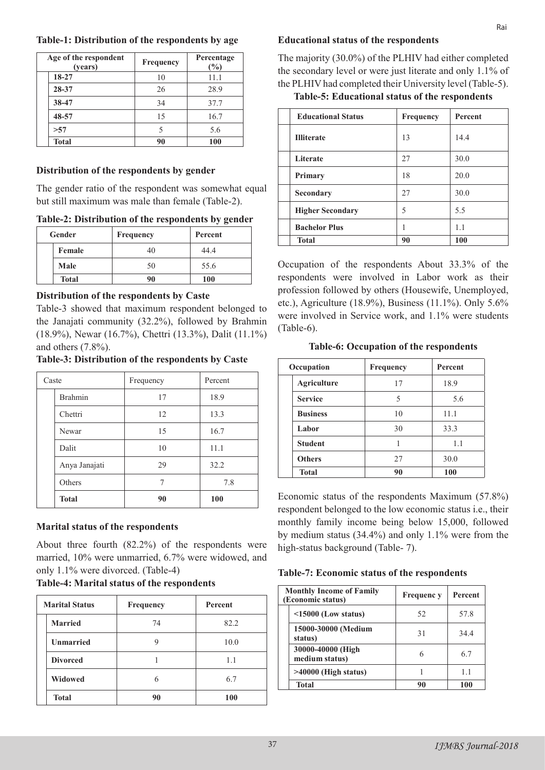| Table-1: Distribution of the respondents by age |  |  |  |  |  |  |
|-------------------------------------------------|--|--|--|--|--|--|
|-------------------------------------------------|--|--|--|--|--|--|

| Age of the respondent<br>(years) | Frequency | Percentage<br>(%) |
|----------------------------------|-----------|-------------------|
| 18-27                            | 10        | 11.1              |
| 28-37                            | 26        | 28.9              |
| 38-47                            | 34        | 37.7              |
| 48-57                            | 15        | 16.7              |
| >57                              | 5         | 5.6               |
| <b>Total</b>                     | 90        | 100               |

## **Distribution of the respondents by gender**

The gender ratio of the respondent was somewhat equal but still maximum was male than female (Table-2).

**Table-2: Distribution of the respondents by gender**

| Gender       | <b>Frequency</b> | Percent    |
|--------------|------------------|------------|
| Female       | 40               | 44.4       |
| Male         | 50               | 55.6       |
| <b>Total</b> | 90               | <b>100</b> |

## **Distribution of the respondents by Caste**

Table-3 showed that maximum respondent belonged to the Janajati community (32.2%), followed by Brahmin (18.9%), Newar (16.7%), Chettri (13.3%), Dalit (11.1%) and others (7.8%).

**Table-3: Distribution of the respondents by Caste**

| Caste |                | Frequency | Percent |
|-------|----------------|-----------|---------|
|       | <b>Brahmin</b> | 17        | 18.9    |
|       | Chettri        | 12        | 13.3    |
|       | Newar          | 15        | 16.7    |
|       | Dalit          | 10        | 11.1    |
|       | Anya Janajati  | 29        | 32.2    |
|       | Others         |           | 7.8     |
|       | <b>Total</b>   | 90        | 100     |

## **Marital status of the respondents**

About three fourth (82.2%) of the respondents were married, 10% were unmarried, 6.7% were widowed, and only 1.1% were divorced. (Table-4)

#### **Table-4: Marital status of the respondents**

| <b>Marital Status</b> | <b>Frequency</b> | <b>Percent</b> |
|-----------------------|------------------|----------------|
| <b>Married</b>        | 74               | 82.2           |
| <b>Unmarried</b>      |                  | 10.0           |
| <b>Divorced</b>       |                  | 1.1            |
| Widowed               |                  | 6.7            |
| <b>Total</b>          | 90               | 100            |

## **Educational status of the respondents**

The majority (30.0%) of the PLHIV had either completed the secondary level or were just literate and only 1.1% of the PLHIV had completed their University level (Table-5).

## **Table-5: Educational status of the respondents**

| <b>Educational Status</b> | <b>Frequency</b> | Percent |
|---------------------------|------------------|---------|
| <b>Illiterate</b>         | 13               | 14.4    |
| Literate                  | 27               | 30.0    |
| Primary                   | 18               | 20.0    |
| Secondary                 | 27               | 30.0    |
| <b>Higher Secondary</b>   | 5                | 5.5     |
| <b>Bachelor Plus</b>      |                  | 1.1     |
| <b>Total</b>              | 90               | 100     |

Occupation of the respondents About 33.3% of the respondents were involved in Labor work as their profession followed by others (Housewife, Unemployed, etc.), Agriculture (18.9%), Business (11.1%). Only 5.6% were involved in Service work, and 1.1% were students (Table-6).

**Table-6: Occupation of the respondents**

| Occupation |                    | Frequency | <b>Percent</b> |
|------------|--------------------|-----------|----------------|
|            | <b>Agriculture</b> | 17        | 18.9           |
|            | <b>Service</b>     | 5         | 5.6            |
|            | <b>Business</b>    | 10        | 11.1           |
|            | Labor              | 30        | 33.3           |
|            | <b>Student</b>     |           | 1.1            |
|            | <b>Others</b>      | 27        | 30.0           |
|            | <b>Total</b>       | 90        | 100            |

Economic status of the respondents Maximum (57.8%) respondent belonged to the low economic status i.e., their monthly family income being below 15,000, followed by medium status (34.4%) and only 1.1% were from the high-status background (Table- 7).

| <b>Monthly Income of Family</b><br>(Economic status) |                                     | <b>Frequenc</b> y | Percent |
|------------------------------------------------------|-------------------------------------|-------------------|---------|
|                                                      | $\leq$ 15000 (Low status)           | 52                | 57.8    |
|                                                      | 15000-30000 (Medium<br>status)      | 31                | 344     |
|                                                      | 30000-40000 (High<br>medium status) |                   | 67      |
|                                                      | $>40000$ (High status)              |                   | 11      |
|                                                      | <b>Total</b>                        | 90                | 100     |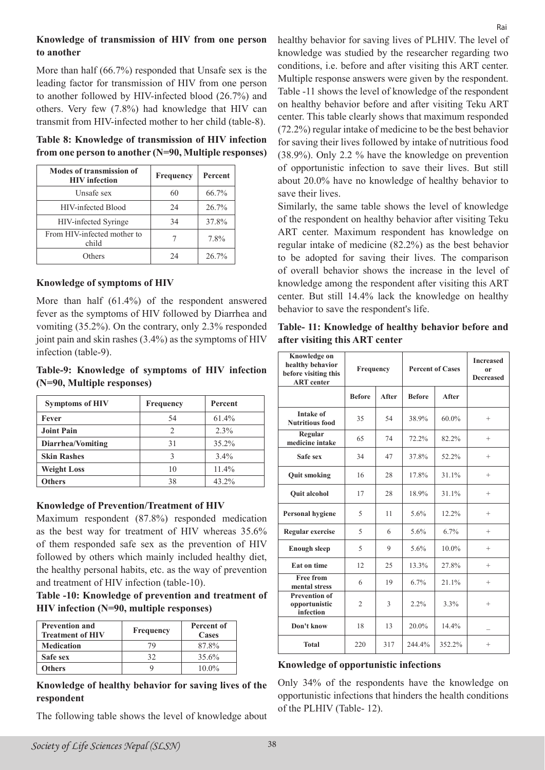#### **Knowledge of transmission of HIV from one person to another**

More than half (66.7%) responded that Unsafe sex is the leading factor for transmission of HIV from one person to another followed by HIV-infected blood (26.7%) and others. Very few (7.8%) had knowledge that HIV can transmit from HIV-infected mother to her child (table-8).

#### **Table 8: Knowledge of transmission of HIV infection from one person to another (N=90, Multiple responses)**

| <b>Modes of transmission of</b><br><b>HIV</b> infection | Frequency | Percent |
|---------------------------------------------------------|-----------|---------|
| Unsafe sex                                              | 60        | 66.7%   |
| HIV-infected Blood                                      | 24        | 26.7%   |
| HIV-infected Syringe                                    | 34        | 37.8%   |
| From HIV-infected mother to<br>child                    |           | 7.8%    |
| Others                                                  | 24        | 26.7%   |

#### **Knowledge of symptoms of HIV**

More than half (61.4%) of the respondent answered fever as the symptoms of HIV followed by Diarrhea and vomiting (35.2%). On the contrary, only 2.3% responded joint pain and skin rashes (3.4%) as the symptoms of HIV infection (table-9).

#### **Table-9: Knowledge of symptoms of HIV infection (N=90, Multiple responses)**

| <b>Symptoms of HIV</b> | Frequency | Percent |
|------------------------|-----------|---------|
| Fever                  | 54        | 61.4%   |
| <b>Joint Pain</b>      | 2         | 2.3%    |
| Diarrhea/Vomiting      | 31        | 35.2%   |
| <b>Skin Rashes</b>     |           | 3.4%    |
| <b>Weight Loss</b>     | 10        | 11.4%   |
| <b>Others</b>          | 38        | 43.2%   |

#### **Knowledge of Prevention/Treatment of HIV**

Maximum respondent (87.8%) responded medication as the best way for treatment of HIV whereas 35.6% of them responded safe sex as the prevention of HIV followed by others which mainly included healthy diet, the healthy personal habits, etc. as the way of prevention and treatment of HIV infection (table-10).

#### **Table -10: Knowledge of prevention and treatment of HIV infection (N=90, multiple responses)**

| <b>Prevention and</b><br><b>Treatment of HIV</b> | Frequency | Percent of<br>Cases |
|--------------------------------------------------|-----------|---------------------|
| <b>Medication</b>                                | 79        | 87.8%               |
| Safe sex                                         | 32        | 35.6%               |
| Others                                           |           | $10.0\%$            |

**Knowledge of healthy behavior for saving lives of the respondent**

The following table shows the level of knowledge about

healthy behavior for saving lives of PLHIV. The level of knowledge was studied by the researcher regarding two conditions, i.e. before and after visiting this ART center. Multiple response answers were given by the respondent. Table -11 shows the level of knowledge of the respondent on healthy behavior before and after visiting Teku ART center. This table clearly shows that maximum responded (72.2%) regular intake of medicine to be the best behavior for saving their lives followed by intake of nutritious food (38.9%). Only 2.2 % have the knowledge on prevention of opportunistic infection to save their lives. But still about 20.0% have no knowledge of healthy behavior to save their lives.

Similarly, the same table shows the level of knowledge of the respondent on healthy behavior after visiting Teku ART center. Maximum respondent has knowledge on regular intake of medicine (82.2%) as the best behavior to be adopted for saving their lives. The comparison of overall behavior shows the increase in the level of knowledge among the respondent after visiting this ART center. But still 14.4% lack the knowledge on healthy behavior to save the respondent's life.

#### **Table- 11: Knowledge of healthy behavior before and after visiting this ART center**

| Knowledge on<br>healthy behavior<br>before visiting this<br><b>ART</b> center | Frequency      |             | <b>Percent of Cases</b> |          | <b>Increased</b><br>or<br><b>Decreased</b> |
|-------------------------------------------------------------------------------|----------------|-------------|-------------------------|----------|--------------------------------------------|
|                                                                               | <b>Before</b>  | After       | <b>Before</b>           | After    |                                            |
| <b>Intake of</b><br><b>Nutritious food</b>                                    | 35             | 54          | 38.9%                   | 60.0%    | $^{+}$                                     |
| Regular<br>medicine intake                                                    | 65             | 74          | 72.2%                   | 82.2%    | $^{+}$                                     |
| Safe sex                                                                      | 34             | 47          | 37.8%                   | 52.2%    | $^{+}$                                     |
| <b>Quit smoking</b>                                                           | 16             | 28          | 17.8%                   | $31.1\%$ | $^{+}$                                     |
| <b>Quit alcohol</b>                                                           | 17             | 28          | 18.9%                   | $31.1\%$ | $^{+}$                                     |
| <b>Personal hygiene</b>                                                       | 5              | 11          | 5.6%                    | 12.2%    | $^{+}$                                     |
| <b>Regular exercise</b>                                                       | 5              | 6           | 5.6%                    | 6.7%     | $^{+}$                                     |
| <b>Enough sleep</b>                                                           | 5              | $\mathbf Q$ | 5.6%                    | 10.0%    | $^{+}$                                     |
| <b>Eat on time</b>                                                            | 12             | 25          | 13.3%                   | 27.8%    | $^{+}$                                     |
| <b>Free from</b><br>mental stress                                             | 6              | 19          | 6.7%                    | 21.1%    | $^{+}$                                     |
| <b>Prevention of</b><br>opportunistic<br>infection                            | $\overline{2}$ | 3           | $2.2\%$                 | 3.3%     | $^{+}$                                     |
| Don't know                                                                    | 18             | 13          | 20.0%                   | 14.4%    |                                            |
| <b>Total</b>                                                                  | 220            | 317         | 244 4%                  | 352.2%   | $\overline{+}$                             |

#### **Knowledge of opportunistic infections**

Only 34% of the respondents have the knowledge on opportunistic infections that hinders the health conditions of the PLHIV (Table- 12).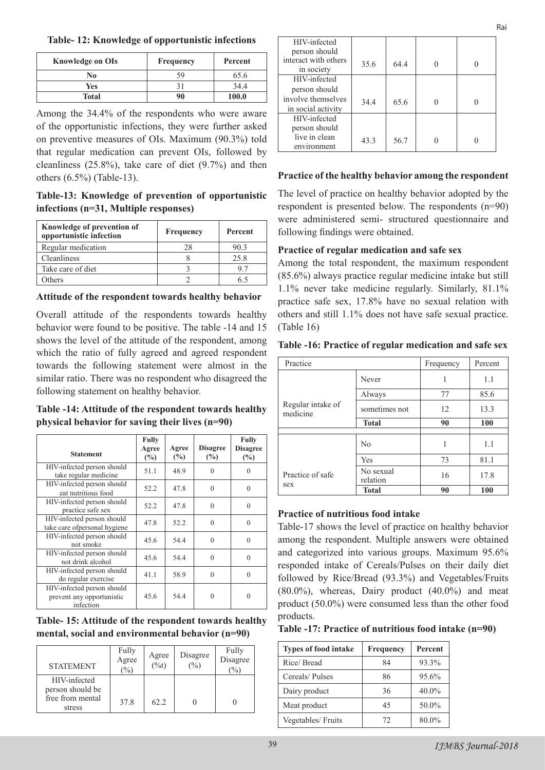**Table- 12: Knowledge of opportunistic infections**

| <b>Knowledge on OIs</b> | Frequency | Percent |
|-------------------------|-----------|---------|
| No                      | 59        | 65.6    |
| Yes                     |           | 34.4    |
| <b>Total</b>            | 90        | 100.0   |

Among the 34.4% of the respondents who were aware of the opportunistic infections, they were further asked on preventive measures of OIs. Maximum (90.3%) told that regular medication can prevent OIs, followed by cleanliness (25.8%), take care of diet (9.7%) and then others (6.5%) (Table-13).

**Table-13: Knowledge of prevention of opportunistic infections (n=31, Multiple responses)**

| Knowledge of prevention of<br>opportunistic infection | Frequency | Percent |
|-------------------------------------------------------|-----------|---------|
| Regular medication                                    | 28        | 903     |
| Cleanliness                                           |           | 25.8    |
| Take care of diet                                     |           |         |
| )thers                                                |           |         |

**Attitude of the respondent towards healthy behavior** 

Overall attitude of the respondents towards healthy behavior were found to be positive. The table -14 and 15 shows the level of the attitude of the respondent, among which the ratio of fully agreed and agreed respondent towards the following statement were almost in the similar ratio. There was no respondent who disagreed the following statement on healthy behavior.

**Table -14: Attitude of the respondent towards healthy physical behavior for saving their lives (n=90)**

| <b>Statement</b>                                                     | <b>Fully</b><br>Agree<br>$(\%)$ | Agree<br>(%) | <b>Disagree</b><br>$\frac{6}{2}$ | <b>Fully</b><br><b>Disagree</b><br>$(\%)$ |
|----------------------------------------------------------------------|---------------------------------|--------------|----------------------------------|-------------------------------------------|
| HIV-infected person should<br>take regular medicine                  | 51.1                            | 48.9         | $\theta$                         | $\theta$                                  |
| HIV-infected person should<br>eat nutritious food                    | 52.2                            | 47.8         | $\theta$                         | $\theta$                                  |
| HIV-infected person should<br>practice safe sex                      | 52.2                            | 47.8         | $\Omega$                         | $\theta$                                  |
| HIV-infected person should<br>take care of personal hygiene          | 47.8                            | 52.2         | $\theta$                         | $\theta$                                  |
| HIV-infected person should<br>not smoke                              | 45.6                            | 54.4         | $\Omega$                         | $\theta$                                  |
| HIV-infected person should<br>not drink alcohol                      | 45.6                            | 54.4         | $\theta$                         | $\theta$                                  |
| HIV-infected person should<br>do regular exercise                    | 41.1                            | 58.9         | $\theta$                         | $\theta$                                  |
| HIV-infected person should<br>prevent any opportunistic<br>infection | 45.6                            | 54.4         | $\Omega$                         | $\theta$                                  |

**Table- 15: Attitude of the respondent towards healthy mental, social and environmental behavior (n=90)**

| <b>STATEMENT</b>                                               | Fully<br>Agree<br>$\frac{1}{2}$ | Agree<br>$\overline{(\%t)}$ | Disagree<br>$\frac{6}{2}$ | Fully<br>Disagree<br>$\%$ |
|----------------------------------------------------------------|---------------------------------|-----------------------------|---------------------------|---------------------------|
| HIV-infected<br>person should be<br>free from mental<br>stress | 37.8                            | 62.2                        |                           |                           |

| HIV-infected<br>person should      |      |      |  |
|------------------------------------|------|------|--|
| interact with others<br>in society | 35.6 | 64.4 |  |
| HIV-infected                       |      |      |  |
| person should                      |      |      |  |
| involve themselves                 | 34.4 | 65.6 |  |
| in social activity                 |      |      |  |
| HIV-infected                       |      |      |  |
| person should                      |      |      |  |
| live in clean                      | 43.3 | 56.7 |  |
| environment                        |      |      |  |

Rai

## **Practice of the healthy behavior among the respondent**

The level of practice on healthy behavior adopted by the respondent is presented below. The respondents (n=90) were administered semi- structured questionnaire and following findings were obtained.

## **Practice of regular medication and safe sex**

Among the total respondent, the maximum respondent (85.6%) always practice regular medicine intake but still 1.1% never take medicine regularly. Similarly, 81.1% practice safe sex, 17.8% have no sexual relation with others and still 1.1% does not have safe sexual practice. (Table 16)

|  |  | Table -16: Practice of regular medication and safe sex |  |
|--|--|--------------------------------------------------------|--|
|  |  |                                                        |  |

| Practice                      |                       | Frequency | Percent |
|-------------------------------|-----------------------|-----------|---------|
|                               | Never                 |           | 1.1     |
|                               | Always                | 77        | 85.6    |
| Regular intake of<br>medicine | sometimes not         | 12        | 13.3    |
|                               | <b>Total</b>          | 90        | 100     |
|                               |                       |           |         |
|                               | N <sub>0</sub>        |           | 1.1     |
|                               | Yes                   | 73        | 81.1    |
| Practice of safe              | No sexual<br>relation | 16        | 17.8    |
| sex                           | <b>Total</b>          | 90        | 100     |

## **Practice of nutritious food intake**

Table-17 shows the level of practice on healthy behavior among the respondent. Multiple answers were obtained and categorized into various groups. Maximum 95.6% responded intake of Cereals/Pulses on their daily diet followed by Rice/Bread (93.3%) and Vegetables/Fruits  $(80.0\%)$ , whereas, Dairy product  $(40.0\%)$  and meat product (50.0%) were consumed less than the other food products.

#### **Table -17: Practice of nutritious food intake (n=90)**

| <b>Types of food intake</b> | Frequency | Percent |
|-----------------------------|-----------|---------|
| Rice/Bread                  | 84        | 93.3%   |
| Cereals/Pulses              | 86        | 95.6%   |
| Dairy product               | 36        | 40.0%   |
| Meat product                | 45        | 50.0%   |
| Vegetables/Fruits           | 72        | 80.0%   |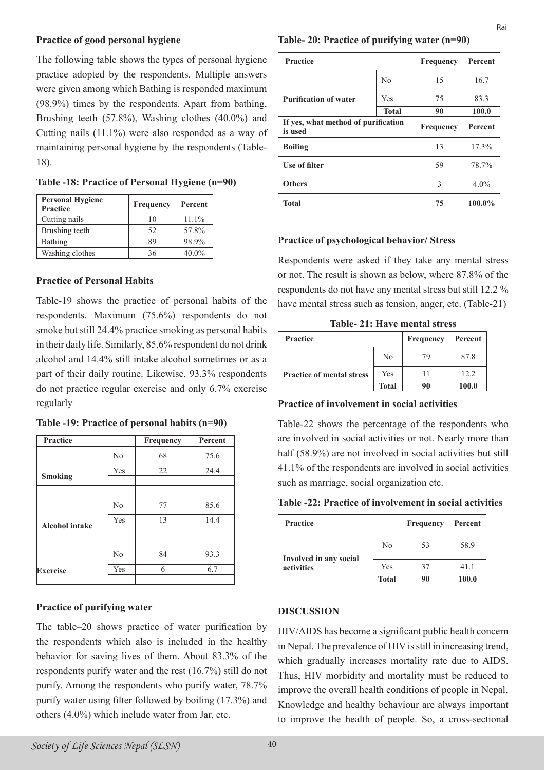#### **Practice of good personal hygiene**

The following table shows the types of personal hygiene practice adopted by the respondents. Multiple answers were given among which Bathing is responded maximum (98.9%) times by the respondents. Apart from bathing, Brushing teeth (57.8%), Washing clothes (40.0%) and Cutting nails (11.1%) were also responded as a way of maintaining personal hygiene by the respondents (Table-18).

**Table -18: Practice of Personal Hygiene (n=90)**

| <b>Personal Hygiene</b><br><b>Practice</b> | Frequency | Percent  |
|--------------------------------------------|-----------|----------|
| Cutting nails                              | 10        | 11.1%    |
| Brushing teeth                             | 52        | 57.8%    |
| Bathing                                    | 89        | 98.9%    |
| Washing clothes                            | 36        | $40.0\%$ |

#### **Practice of Personal Habits**

Table-19 shows the practice of personal habits of the respondents. Maximum (75.6%) respondents do not smoke but still 24.4% practice smoking as personal habits in their daily life. Similarly, 85.6% respondent do not drink alcohol and 14.4% still intake alcohol sometimes or as a part of their daily routine. Likewise, 93.3% respondents do not practice regular exercise and only 6.7% exercise regularly

| <b>Practice</b>       |                | <b>Frequency</b> | Percent |
|-----------------------|----------------|------------------|---------|
|                       | No             | 68               | 75.6    |
| <b>Smoking</b>        | Yes            | 22               | 24.4    |
|                       |                |                  |         |
|                       | N <sub>0</sub> | 77               | 85.6    |
| <b>Alcohol</b> intake | Yes            | 13               | 14.4    |
|                       |                |                  |         |
|                       | No             | 84               | 93.3    |
| Exercise              | Yes            | 6                | 6.7     |
|                       |                |                  |         |

**Table -19: Practice of personal habits (n=90)**

## **Practice of purifying water**

The table–20 shows practice of water purification by the respondents which also is included in the healthy behavior for saving lives of them. About 83.3% of the respondents purify water and the rest (16.7%) still do not purify. Among the respondents who purify water, 78.7% purify water using filter followed by boiling (17.3%) and others (4.0%) which include water from Jar, etc.

| <b>Practice</b>                                |                | Frequency | Percent |
|------------------------------------------------|----------------|-----------|---------|
|                                                | N <sub>0</sub> | 15        | 16.7    |
| <b>Purification of water</b>                   | Yes            | 75        | 83.3    |
|                                                | <b>Total</b>   | 90        | 100.0   |
| If yes, what method of purification<br>is used |                | Frequency | Percent |
| <b>Boiling</b>                                 |                | 13        | 17.3%   |
| Use of filter                                  |                | 59        | 78.7%   |
| <b>Others</b>                                  |                | 3         | 4.0%    |
| <b>Total</b>                                   |                | 75        | 100.0%  |

#### **Practice of psychological behavior/ Stress**

Respondents were asked if they take any mental stress or not. The result is shown as below, where 87.8% of the respondents do not have any mental stress but still 12.2 % have mental stress such as tension, anger, etc. (Table-21)

**Table- 21: Have mental stress**

| <b>Practice</b>                  |              | Frequency | Percent |
|----------------------------------|--------------|-----------|---------|
| <b>Practice of mental stress</b> | No           | 79        | 87.8    |
|                                  | Yes          | 11        | 12.2    |
|                                  | <b>Total</b> | 90        | 100.0   |

#### **Practice of involvement in social activities**

Table-22 shows the percentage of the respondents who are involved in social activities or not. Nearly more than half (58.9%) are not involved in social activities but still 41.1% of the respondents are involved in social activities such as marriage, social organization etc.

#### **Table -22: Practice of involvement in social activities**

| <b>Practice</b>                      |                | Frequency | Percent |
|--------------------------------------|----------------|-----------|---------|
| Involved in any social<br>activities | N <sub>0</sub> | 53        | 58.9    |
|                                      | Yes            | 37        | 41.1    |
|                                      | <b>Total</b>   | 90        | 100.0   |

#### **DISCUSSION**

HIV/AIDS has become a significant public health concern in Nepal. The prevalence of HIV is still in increasing trend, which gradually increases mortality rate due to AIDS. Thus, HIV morbidity and mortality must be reduced to improve the overall health conditions of people in Nepal. Knowledge and healthy behaviour are always important to improve the health of people. So, a cross-sectional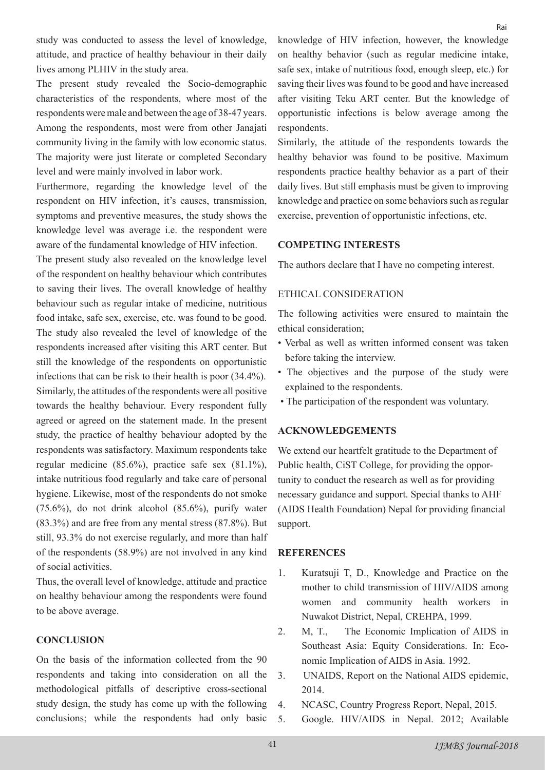study was conducted to assess the level of knowledge, attitude, and practice of healthy behaviour in their daily lives among PLHIV in the study area.

The present study revealed the Socio-demographic characteristics of the respondents, where most of the respondents were male and between the age of 38-47 years. Among the respondents, most were from other Janajati community living in the family with low economic status. The majority were just literate or completed Secondary level and were mainly involved in labor work.

Furthermore, regarding the knowledge level of the respondent on HIV infection, it's causes, transmission, symptoms and preventive measures, the study shows the knowledge level was average i.e. the respondent were aware of the fundamental knowledge of HIV infection.

The present study also revealed on the knowledge level of the respondent on healthy behaviour which contributes to saving their lives. The overall knowledge of healthy behaviour such as regular intake of medicine, nutritious food intake, safe sex, exercise, etc. was found to be good. The study also revealed the level of knowledge of the respondents increased after visiting this ART center. But still the knowledge of the respondents on opportunistic infections that can be risk to their health is poor (34.4%). Similarly, the attitudes of the respondents were all positive towards the healthy behaviour. Every respondent fully agreed or agreed on the statement made. In the present study, the practice of healthy behaviour adopted by the respondents was satisfactory. Maximum respondents take regular medicine (85.6%), practice safe sex (81.1%), intake nutritious food regularly and take care of personal hygiene. Likewise, most of the respondents do not smoke (75.6%), do not drink alcohol (85.6%), purify water (83.3%) and are free from any mental stress (87.8%). But still, 93.3% do not exercise regularly, and more than half of the respondents (58.9%) are not involved in any kind of social activities.

Thus, the overall level of knowledge, attitude and practice on healthy behaviour among the respondents were found to be above average.

#### **CONCLUSION**

On the basis of the information collected from the 90 respondents and taking into consideration on all the methodological pitfalls of descriptive cross-sectional study design, the study has come up with the following conclusions; while the respondents had only basic

knowledge of HIV infection, however, the knowledge on healthy behavior (such as regular medicine intake, safe sex, intake of nutritious food, enough sleep, etc.) for saving their lives was found to be good and have increased after visiting Teku ART center. But the knowledge of opportunistic infections is below average among the respondents.

Similarly, the attitude of the respondents towards the healthy behavior was found to be positive. Maximum respondents practice healthy behavior as a part of their daily lives. But still emphasis must be given to improving knowledge and practice on some behaviors such as regular exercise, prevention of opportunistic infections, etc.

#### **COMPETING INTERESTS**

The authors declare that I have no competing interest.

#### ETHICAL CONSIDERATION

The following activities were ensured to maintain the ethical consideration;

- Verbal as well as written informed consent was taken before taking the interview.
- The objectives and the purpose of the study were explained to the respondents.
- The participation of the respondent was voluntary.

#### **ACKNOWLEDGEMENTS**

We extend our heartfelt gratitude to the Department of Public health, CiST College, for providing the opportunity to conduct the research as well as for providing necessary guidance and support. Special thanks to AHF (AIDS Health Foundation) Nepal for providing financial support.

#### **REFERENCES**

- 1. Kuratsuji T, D., Knowledge and Practice on the mother to child transmission of HIV/AIDS among women and community health workers in Nuwakot District, Nepal, CREHPA, 1999.
- 2. M, T., The Economic Implication of AIDS in Southeast Asia: Equity Considerations. In: Economic Implication of AIDS in Asia. 1992.
- 3. UNAIDS, Report on the National AIDS epidemic, 2014.
- 4. NCASC, Country Progress Report, Nepal, 2015.
- 5. Google. HIV/AIDS in Nepal. 2012; Available